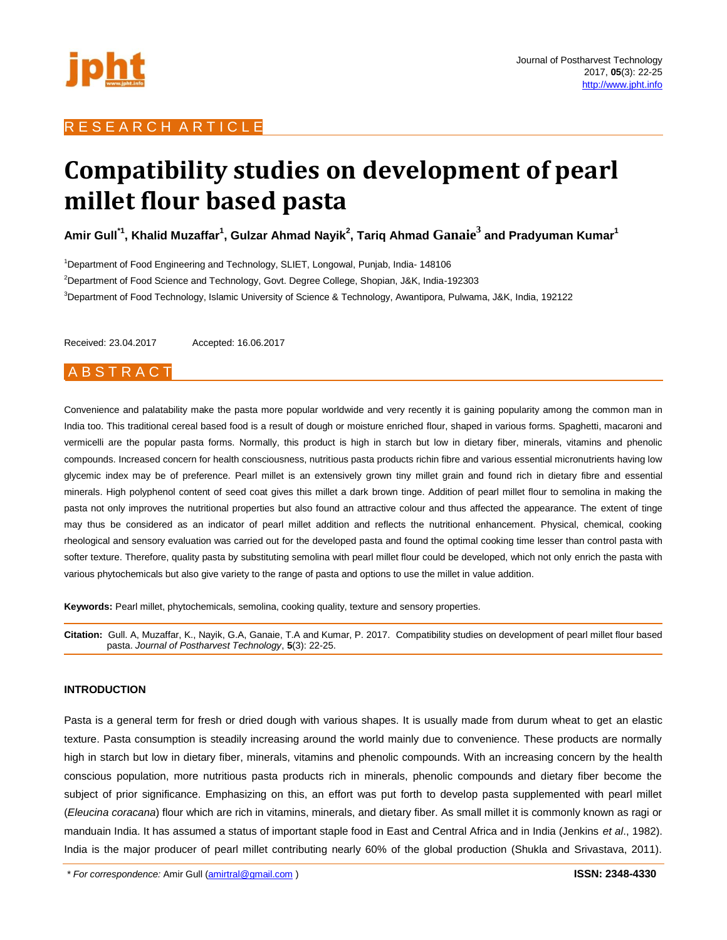

# R E S E A R C H A R T I C L E

# **Compatibility studies on development of pearl millet flour based pasta**

 $\boldsymbol{\mathsf{A}}$ mir Gull $^{\mathsf{T}}$ , Khalid Muzaffar $^{\mathsf{T}}$ , Gulzar Ahmad Nayik $^{\mathsf{2}}$ , Tariq Ahmad  $\boldsymbol{\mathsf{G}}$ anai $\boldsymbol{\mathsf{e}}^{\mathsf{3}}$  and Pradyuman Kumar $^{\mathsf{T}}$ 

<sup>1</sup>Department of Food Engineering and Technology, SLIET, Longowal, Punjab, India- 148106 <sup>2</sup>Department of Food Science and Technology, Govt. Degree College, Shopian, J&K, India-192303 <sup>3</sup>Department of Food Technology, Islamic University of Science & Technology, Awantipora, Pulwama, J&K, India, 192122

Received: 23.04.2017 Accepted: 16.06.2017

## **ABSTRACT**

Convenience and palatability make the pasta more popular worldwide and very recently it is gaining popularity among the common man in India too. This traditional cereal based food is a result of dough or moisture enriched flour, shaped in various forms. Spaghetti, macaroni and vermicelli are the popular pasta forms. Normally, this product is high in starch but low in dietary fiber, minerals, vitamins and phenolic compounds. Increased concern for health consciousness, nutritious pasta products richin fibre and various essential micronutrients having low glycemic index may be of preference. Pearl millet is an extensively grown tiny millet grain and found rich in dietary fibre and essential minerals. High polyphenol content of seed coat gives this millet a dark brown tinge. Addition of pearl millet flour to semolina in making the pasta not only improves the nutritional properties but also found an attractive colour and thus affected the appearance. The extent of tinge may thus be considered as an indicator of pearl millet addition and reflects the nutritional enhancement. Physical, chemical, cooking rheological and sensory evaluation was carried out for the developed pasta and found the optimal cooking time lesser than control pasta with softer texture. Therefore, quality pasta by substituting semolina with pearl millet flour could be developed, which not only enrich the pasta with various phytochemicals but also give variety to the range of pasta and options to use the millet in value addition.

**Keywords:** Pearl millet, phytochemicals, semolina, cooking quality, texture and sensory properties.

**Citation:** Gull. A, Muzaffar, K., Nayik, G.A, Ganaie, T.A and Kumar, P. 2017. Compatibility studies on development of pearl millet flour based pasta. *Journal of Postharvest Technology*, **5**(3): 22-25.

#### **INTRODUCTION**

Pasta is a general term for fresh or dried dough with various shapes. It is usually made from durum wheat to get an elastic texture. Pasta consumption is steadily increasing around the world mainly due to convenience. These products are normally high in starch but low in dietary fiber, minerals, vitamins and phenolic compounds. With an increasing concern by the health conscious population, more nutritious pasta products rich in minerals, phenolic compounds and dietary fiber become the subject of prior significance. Emphasizing on this, an effort was put forth to develop pasta supplemented with pearl millet (*Eleucina coracana*) flour which are rich in vitamins, minerals, and dietary fiber. As small millet it is commonly known as ragi or manduain India. It has assumed a status of important staple food in East and Central Africa and in India (Jenkins *et al*., 1982). India is the major producer of pearl millet contributing nearly 60% of the global production (Shukla and Srivastava, 2011).

*\* For correspondence:* Amir Gull (amirtral@gmail.com ) **ISSN: 2348-4330**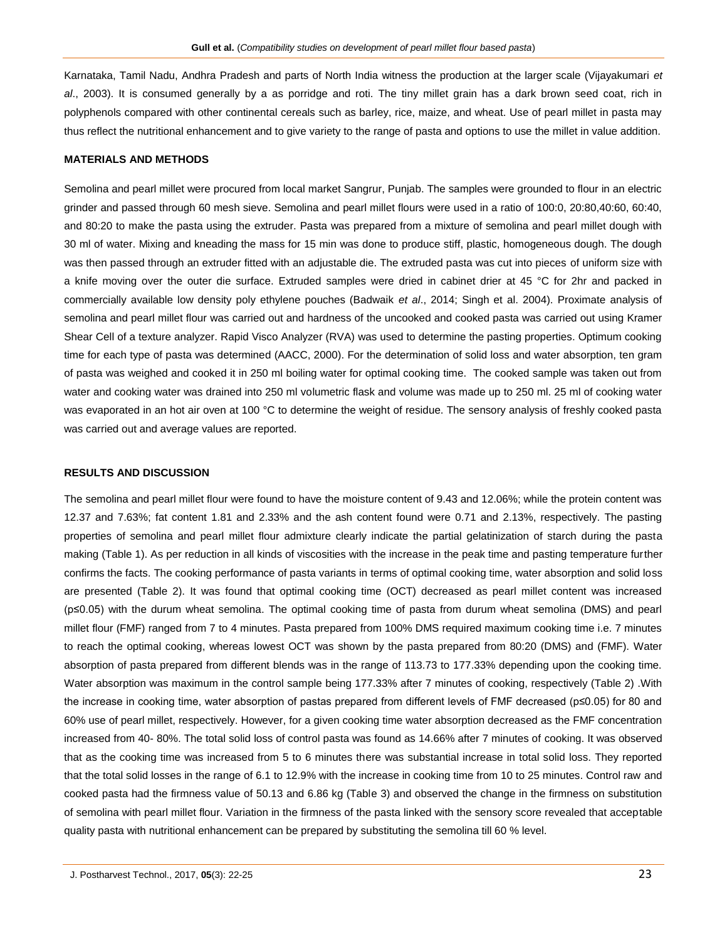Karnataka, Tamil Nadu, Andhra Pradesh and parts of North India witness the production at the larger scale (Vijayakumari *et al*., 2003). It is consumed generally by a as porridge and roti. The tiny millet grain has a dark brown seed coat, rich in polyphenols compared with other continental cereals such as barley, rice, maize, and wheat. Use of pearl millet in pasta may thus reflect the nutritional enhancement and to give variety to the range of pasta and options to use the millet in value addition.

#### **MATERIALS AND METHODS**

Semolina and pearl millet were procured from local market Sangrur, Punjab. The samples were grounded to flour in an electric grinder and passed through 60 mesh sieve. Semolina and pearl millet flours were used in a ratio of 100:0, 20:80,40:60, 60:40, and 80:20 to make the pasta using the extruder. Pasta was prepared from a mixture of semolina and pearl millet dough with 30 ml of water. Mixing and kneading the mass for 15 min was done to produce stiff, plastic, homogeneous dough. The dough was then passed through an extruder fitted with an adjustable die. The extruded pasta was cut into pieces of uniform size with a knife moving over the outer die surface. Extruded samples were dried in cabinet drier at 45 °C for 2hr and packed in commercially available low density poly ethylene pouches (Badwaik *et al*., 2014; Singh et al. 2004). Proximate analysis of semolina and pearl millet flour was carried out and hardness of the uncooked and cooked pasta was carried out using Kramer Shear Cell of a texture analyzer. Rapid Visco Analyzer (RVA) was used to determine the pasting properties. Optimum cooking time for each type of pasta was determined (AACC, 2000). For the determination of solid loss and water absorption, ten gram of pasta was weighed and cooked it in 250 ml boiling water for optimal cooking time. The cooked sample was taken out from water and cooking water was drained into 250 ml volumetric flask and volume was made up to 250 ml. 25 ml of cooking water was evaporated in an hot air oven at 100 °C to determine the weight of residue. The sensory analysis of freshly cooked pasta was carried out and average values are reported.

#### **RESULTS AND DISCUSSION**

The semolina and pearl millet flour were found to have the moisture content of 9.43 and 12.06%; while the protein content was 12.37 and 7.63%; fat content 1.81 and 2.33% and the ash content found were 0.71 and 2.13%, respectively. The pasting properties of semolina and pearl millet flour admixture clearly indicate the partial gelatinization of starch during the pasta making (Table 1). As per reduction in all kinds of viscosities with the increase in the peak time and pasting temperature further confirms the facts. The cooking performance of pasta variants in terms of optimal cooking time, water absorption and solid loss are presented (Table 2). It was found that optimal cooking time (OCT) decreased as pearl millet content was increased (p≤0.05) with the durum wheat semolina. The optimal cooking time of pasta from durum wheat semolina (DMS) and pearl millet flour (FMF) ranged from 7 to 4 minutes. Pasta prepared from 100% DMS required maximum cooking time i.e. 7 minutes to reach the optimal cooking, whereas lowest OCT was shown by the pasta prepared from 80:20 (DMS) and (FMF). Water absorption of pasta prepared from different blends was in the range of 113.73 to 177.33% depending upon the cooking time. Water absorption was maximum in the control sample being 177.33% after 7 minutes of cooking, respectively (Table 2) .With the increase in cooking time, water absorption of pastas prepared from different levels of FMF decreased (p≤0.05) for 80 and 60% use of pearl millet, respectively. However, for a given cooking time water absorption decreased as the FMF concentration increased from 40- 80%. The total solid loss of control pasta was found as 14.66% after 7 minutes of cooking. It was observed that as the cooking time was increased from 5 to 6 minutes there was substantial increase in total solid loss. They reported that the total solid losses in the range of 6.1 to 12.9% with the increase in cooking time from 10 to 25 minutes. Control raw and cooked pasta had the firmness value of 50.13 and 6.86 kg (Table 3) and observed the change in the firmness on substitution of semolina with pearl millet flour. Variation in the firmness of the pasta linked with the sensory score revealed that acceptable quality pasta with nutritional enhancement can be prepared by substituting the semolina till 60 % level.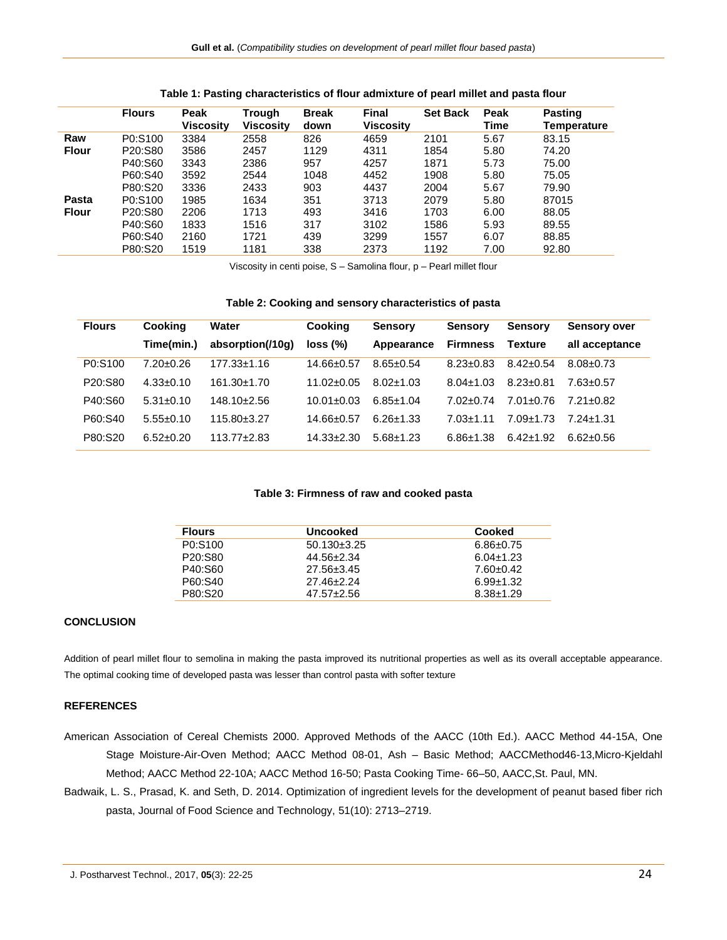|              | <b>Flours</b> | Peak<br>Viscosity | Trough<br><b>Viscosity</b> | <b>Break</b><br>down | Final<br><b>Viscosity</b> | <b>Set Back</b> | Peak<br>Time | <b>Pasting</b><br>Temperature |
|--------------|---------------|-------------------|----------------------------|----------------------|---------------------------|-----------------|--------------|-------------------------------|
| Raw          | P0:S100       | 3384              | 2558                       | 826                  | 4659                      | 2101            | 5.67         | 83.15                         |
| <b>Flour</b> | P20:S80       | 3586              | 2457                       | 1129                 | 4311                      | 1854            | 5.80         | 74.20                         |
|              | P40:S60       | 3343              | 2386                       | 957                  | 4257                      | 1871            | 5.73         | 75.00                         |
|              | P60:S40       | 3592              | 2544                       | 1048                 | 4452                      | 1908            | 5.80         | 75.05                         |
|              | P80:S20       | 3336              | 2433                       | 903                  | 4437                      | 2004            | 5.67         | 79.90                         |
| Pasta        | P0:S100       | 1985              | 1634                       | 351                  | 3713                      | 2079            | 5.80         | 87015                         |
| <b>Flour</b> | P20:S80       | 2206              | 1713                       | 493                  | 3416                      | 1703            | 6.00         | 88.05                         |
|              | P40:S60       | 1833              | 1516                       | 317                  | 3102                      | 1586            | 5.93         | 89.55                         |
|              | P60:S40       | 2160              | 1721                       | 439                  | 3299                      | 1557            | 6.07         | 88.85                         |
|              | P80:S20       | 1519              | 1181                       | 338                  | 2373                      | 1192            | 7.00         | 92.80                         |

#### **Table 1: Pasting characteristics of flour admixture of pearl millet and pasta flour**

Viscosity in centi poise, S – Samolina flour, p – Pearl millet flour

#### **Table 2: Cooking and sensory characteristics of pasta**

| <b>Flours</b>                    | <b>Cooking</b>  | Water            | <b>Cooking</b> | <b>Sensory</b>  | <b>Sensory</b>  | <b>Sensory</b> | <b>Sensory over</b> |
|----------------------------------|-----------------|------------------|----------------|-----------------|-----------------|----------------|---------------------|
|                                  | Time(min.)      | absorption(/10q) | loss (%)       | Appearance      | <b>Firmness</b> | <b>Texture</b> | all acceptance      |
| P0:S100                          | $7.20 + 0.26$   | 177.33+1.16      | $14.66 + 0.57$ | $8.65 + 0.54$   | $8.23 + 0.83$   | $8.42 + 0.54$  | $8.08 + 0.73$       |
| P <sub>20</sub> :S <sub>80</sub> | $4.33 \pm 0.10$ | $161.30 + 1.70$  | $11.02 + 0.05$ | $8.02 + 1.03$   | $8.04 + 1.03$   | $8.23 + 0.81$  | 7.63+0.57           |
| P40:S60                          | $5.31 \pm 0.10$ | $148.10 + 2.56$  | $10.01 + 0.03$ | $6.85 + 1.04$   | $7.02 + 0.74$   | $7.01 + 0.76$  | 7.21+0.82           |
| P60:S40                          | $5.55+0.10$     | 115.80+3.27      | $14.66 + 0.57$ | $6.26 \pm 1.33$ | $7.03 + 1.11$   | $7.09 + 1.73$  | $7.24 \pm 1.31$     |
| P80:S20                          | $6.52 + 0.20$   | $113.77 + 2.83$  | $14.33 + 2.30$ | $5.68 + 1.23$   | 6.86+1.38       | $6.42 + 1.92$  | $6.62 \pm 0.56$     |

#### **Table 3: Firmness of raw and cooked pasta**

| <b>Flours</b>                    | <b>Uncooked</b>   | Cooked          |
|----------------------------------|-------------------|-----------------|
| P0:S100                          | $50.130 \pm 3.25$ | $6.86 \pm 0.75$ |
| P <sub>20</sub> :S <sub>80</sub> | 44.56±2.34        | $6.04 \pm 1.23$ |
| P40:S60                          | 27.56±3.45        | $7.60 \pm 0.42$ |
| P60:S40                          | $27.46 \pm 2.24$  | $6.99 \pm 1.32$ |
| P80:S20                          | $47.57 \pm 2.56$  | $8.38 \pm 1.29$ |

#### **CONCLUSION**

Addition of pearl millet flour to semolina in making the pasta improved its nutritional properties as well as its overall acceptable appearance. The optimal cooking time of developed pasta was lesser than control pasta with softer texture

### **REFERENCES**

- American Association of Cereal Chemists 2000. Approved Methods of the AACC (10th Ed.). AACC Method 44-15A, One Stage Moisture-Air-Oven Method; AACC Method 08-01, Ash – Basic Method; AACCMethod46-13,Micro-Kjeldahl Method; AACC Method 22-10A; AACC Method 16-50; Pasta Cooking Time- 66–50, AACC,St. Paul, MN.
- Badwaik, L. S., Prasad, K. and Seth, D. 2014. Optimization of ingredient levels for the development of peanut based fiber rich pasta, Journal of Food Science and Technology, 51(10): 2713–2719.